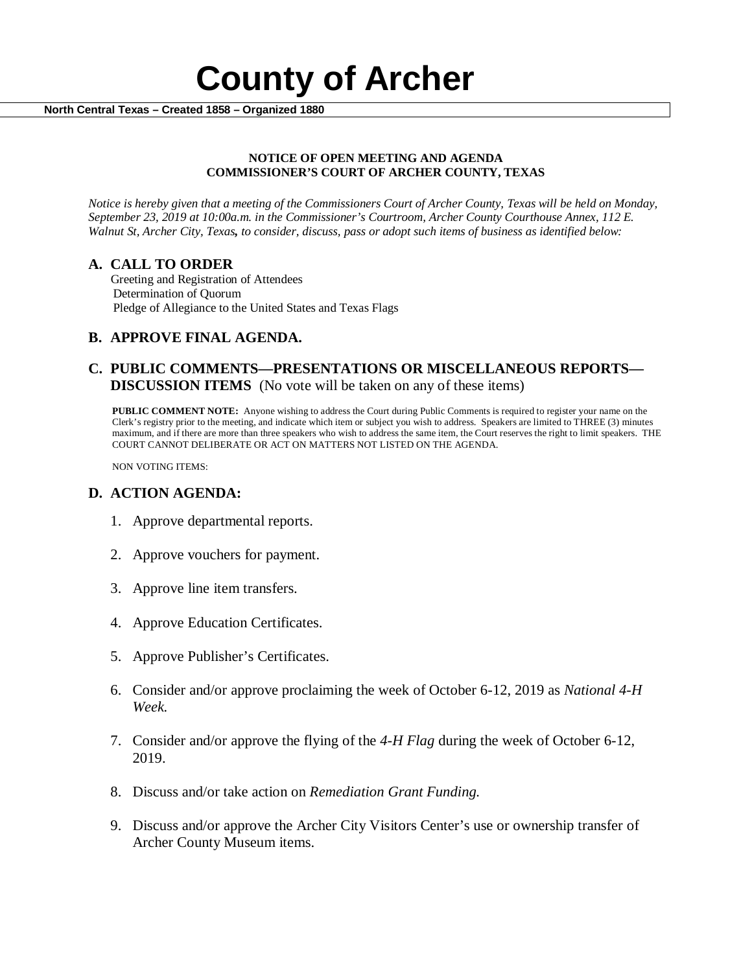# **County of Archer Algorith Central Texas – Created 1858 – Organized 1880**

#### **NOTICE OF OPEN MEETING AND AGENDA COMMISSIONER'S COURT OF ARCHER COUNTY, TEXAS**

*Notice is hereby given that a meeting of the Commissioners Court of Archer County, Texas will be held on Monday, September 23, 2019 at 10:00a.m. in the Commissioner's Courtroom, Archer County Courthouse Annex, 112 E. Walnut St, Archer City, Texas, to consider, discuss, pass or adopt such items of business as identified below:*

**A. CALL TO ORDER** Greeting and Registration of Attendees Determination of Quorum Pledge of Allegiance to the United States and Texas Flags

## **B. APPROVE FINAL AGENDA.**

## **C. PUBLIC COMMENTS—PRESENTATIONS OR MISCELLANEOUS REPORTS— DISCUSSION ITEMS** (No vote will be taken on any of these items)

**PUBLIC COMMENT NOTE:** Anyone wishing to address the Court during Public Comments is required to register your name on the Clerk's registry prior to the meeting, and indicate which item or subject you wish to address. Speakers are limited to THREE (3) minutes maximum, and if there are more than three speakers who wish to address the same item, the Court reserves the right to limit speakers. THE COURT CANNOT DELIBERATE OR ACT ON MATTERS NOT LISTED ON THE AGENDA.

NON VOTING ITEMS:

#### **D. ACTION AGENDA:**

- 1. Approve departmental reports.
- 2. Approve vouchers for payment.
- 3. Approve line item transfers.
- 4. Approve Education Certificates.
- 5. Approve Publisher's Certificates.
- 6. Consider and/or approve proclaiming the week of October 6-12, 2019 as *National 4-H Week.*
- 7. Consider and/or approve the flying of the *4-H Flag* during the week of October 6-12, 2019.
- 8. Discuss and/or take action on *Remediation Grant Funding.*
- 9. Discuss and/or approve the Archer City Visitors Center's use or ownership transfer of Archer County Museum items.